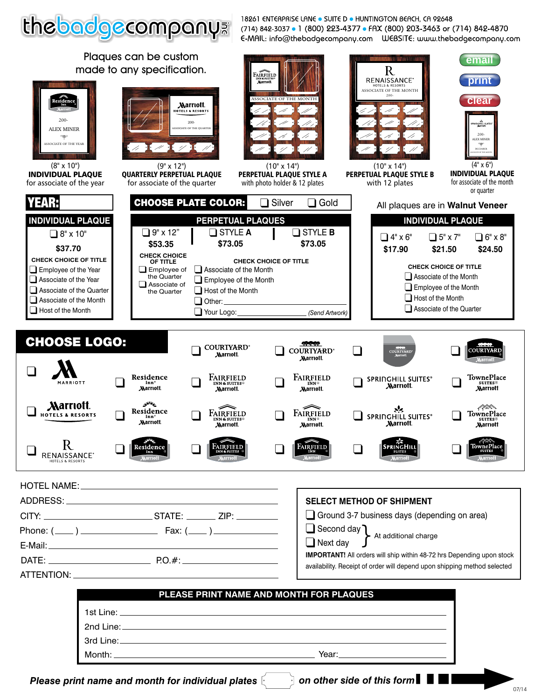

18261 ENTERPRISE LANE . SUITE D . HUNTINGTON BEACH, CA 92648 (714) 842-3037 • 1 (800) 223-4377 • FAX (800) 203-3463 or (714) 842-4870 E-MAIL: info@thebadgecompany.com UEBSITE: www.thebadgecompany.com

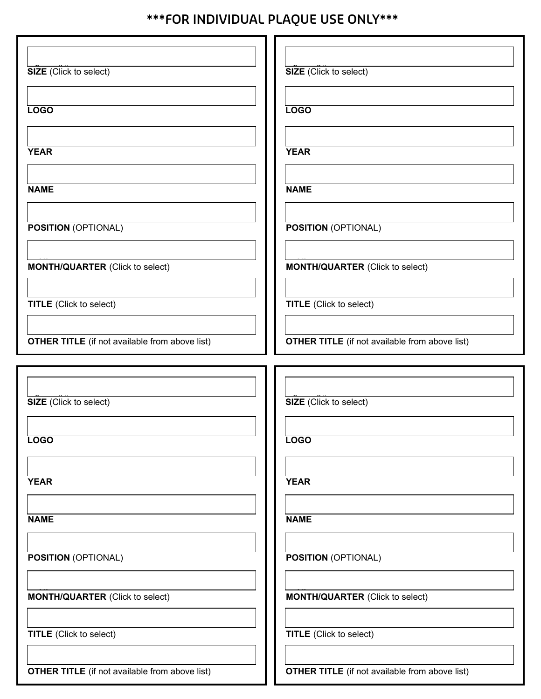## **\*\*\*FOR INDIVIDUAL PLAQUE USE ONLY\*\*\***

| SIZE (Click to select)                                | <b>SIZE</b> (Click to select)                         |
|-------------------------------------------------------|-------------------------------------------------------|
|                                                       |                                                       |
| <b>LOGO</b>                                           | <b>LOGO</b>                                           |
|                                                       |                                                       |
| <b>YEAR</b>                                           | <b>YEAR</b>                                           |
| <b>NAME</b>                                           | <b>NAME</b>                                           |
|                                                       |                                                       |
| <b>POSITION (OPTIONAL)</b>                            | <b>POSITION (OPTIONAL)</b>                            |
|                                                       |                                                       |
| <b>MONTH/QUARTER (Click to select)</b>                | <b>MONTH/QUARTER (Click to select)</b>                |
|                                                       |                                                       |
| <b>TITLE</b> (Click to select)                        | <b>TITLE</b> (Click to select)                        |
|                                                       |                                                       |
| <b>OTHER TITLE</b> (if not available from above list) | <b>OTHER TITLE</b> (if not available from above list) |
|                                                       |                                                       |
|                                                       |                                                       |
| SIZE (Click to select)                                | SIZE (Click to select)                                |
|                                                       |                                                       |
| <b>LOGO</b>                                           | <b>LOGO</b>                                           |
|                                                       |                                                       |
| <b>YEAR</b>                                           | <b>YEAR</b>                                           |
|                                                       |                                                       |
| <b>NAME</b>                                           | <b>NAME</b>                                           |
|                                                       |                                                       |
| <b>POSITION (OPTIONAL)</b>                            | <b>POSITION (OPTIONAL)</b>                            |
| <b>MONTH/QUARTER (Click to select)</b>                | <b>MONTH/QUARTER (Click to select)</b>                |
|                                                       |                                                       |
| <b>TITLE</b> (Click to select)                        | <b>TITLE</b> (Click to select)                        |
| <b>OTHER TITLE</b> (if not available from above list) | <b>OTHER TITLE</b> (if not available from above list) |